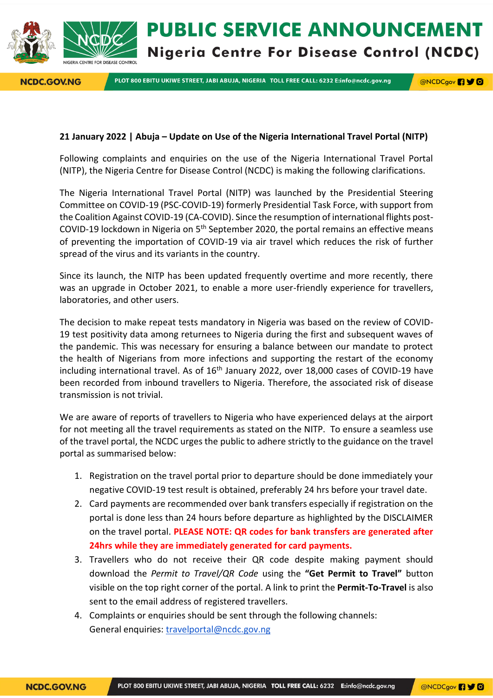**NCDC.GOV.NG** 

PLOT 800 EBITU UKIWE STREET, JABI ABUJA, NIGERIA TOLL FREE CALL: 6232 E:info@ncdc.gov.ng

**@NCDCgov 490** 

## **21 January 2022 | Abuja – Update on Use of the Nigeria International Travel Portal (NITP)**

Following complaints and enquiries on the use of the Nigeria International Travel Portal (NITP), the Nigeria Centre for Disease Control (NCDC) is making the following clarifications.

The Nigeria International Travel Portal (NITP) was launched by the Presidential Steering Committee on COVID-19 (PSC-COVID-19) formerly Presidential Task Force, with support from the Coalition Against COVID-19 (CA-COVID). Since the resumption of international flights post-COVID-19 lockdown in Nigeria on  $5<sup>th</sup>$  September 2020, the portal remains an effective means of preventing the importation of COVID-19 via air travel which reduces the risk of further spread of the virus and its variants in the country.

Since its launch, the NITP has been updated frequently overtime and more recently, there was an upgrade in October 2021, to enable a more user-friendly experience for travellers, laboratories, and other users.

The decision to make repeat tests mandatory in Nigeria was based on the review of COVID-19 test positivity data among returnees to Nigeria during the first and subsequent waves of the pandemic. This was necessary for ensuring a balance between our mandate to protect the health of Nigerians from more infections and supporting the restart of the economy including international travel. As of 16<sup>th</sup> January 2022, over 18,000 cases of COVID-19 have been recorded from inbound travellers to Nigeria. Therefore, the associated risk of disease transmission is not trivial.

We are aware of reports of travellers to Nigeria who have experienced delays at the airport for not meeting all the travel requirements as stated on the NITP. To ensure a seamless use of the travel portal, the NCDC urges the public to adhere strictly to the guidance on the travel portal as summarised below:

- 1. Registration on the travel portal prior to departure should be done immediately your negative COVID-19 test result is obtained, preferably 24 hrs before your travel date.
- 2. Card payments are recommended over bank transfers especially if registration on the portal is done less than 24 hours before departure as highlighted by the DISCLAIMER on the travel portal. **PLEASE NOTE: QR codes for bank transfers are generated after 24hrs while they are immediately generated for card payments.**
- 3. Travellers who do not receive their QR code despite making payment should download the *Permit to Travel/QR Code* using the **"Get Permit to Travel"** button visible on the top right corner of the portal. A link to print the **Permit-To-Travel** is also sent to the email address of registered travellers.
- 4. Complaints or enquiries should be sent through the following channels: General enquiries: [travelportal@ncdc.gov.ng](mailto:travelportal@ncdc.gov.ng)